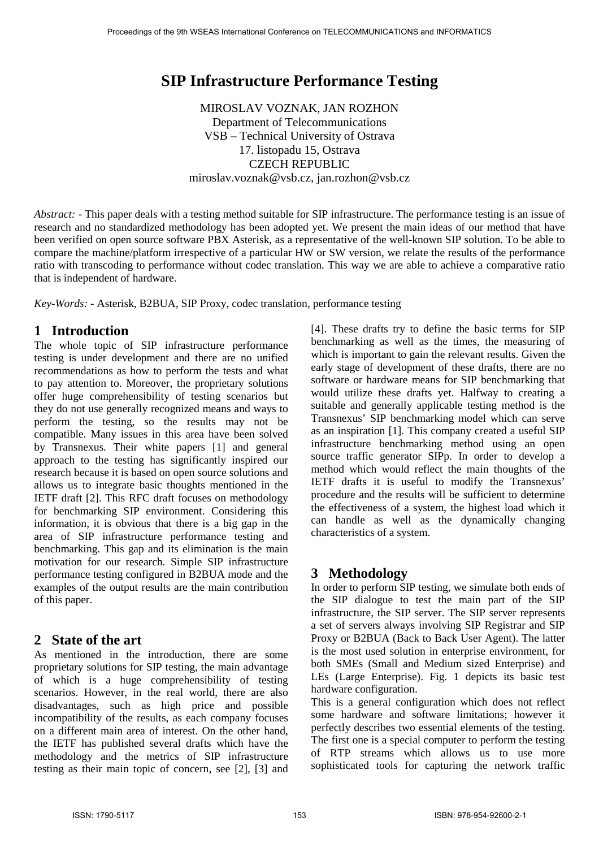# **SIP Infrastructure Performance Testing**

MIROSLAV VOZNAK, JAN ROZHON Department of Telecommunications VSB – Technical University of Ostrava 17. listopadu 15, Ostrava CZECH REPUBLIC miroslav.voznak@vsb.cz, jan.rozhon@vsb.cz

*Abstract: -* This paper deals with a testing method suitable for SIP infrastructure. The performance testing is an issue of research and no standardized methodology has been adopted yet. We present the main ideas of our method that have been verified on open source software PBX Asterisk, as a representative of the well-known SIP solution. To be able to compare the machine/platform irrespective of a particular HW or SW version, we relate the results of the performance ratio with transcoding to performance without codec translation. This way we are able to achieve a comparative ratio that is independent of hardware.

*Key-Words: -* Asterisk, B2BUA, SIP Proxy, codec translation, performance testing

# **1 Introduction**

The whole topic of SIP infrastructure performance testing is under development and there are no unified recommendations as how to perform the tests and what to pay attention to. Moreover, the proprietary solutions offer huge comprehensibility of testing scenarios but they do not use generally recognized means and ways to perform the testing, so the results may not be compatible. Many issues in this area have been solved by Transnexus. Their white papers [1] and general approach to the testing has significantly inspired our research because it is based on open source solutions and allows us to integrate basic thoughts mentioned in the IETF draft [2]. This RFC draft focuses on methodology for benchmarking SIP environment. Considering this information, it is obvious that there is a big gap in the area of SIP infrastructure performance testing and benchmarking. This gap and its elimination is the main motivation for our research. Simple SIP infrastructure performance testing configured in B2BUA mode and the examples of the output results are the main contribution of this paper.

# **2 State of the art**

As mentioned in the introduction, there are some proprietary solutions for SIP testing, the main advantage of which is a huge comprehensibility of testing scenarios. However, in the real world, there are also disadvantages, such as high price and possible incompatibility of the results, as each company focuses on a different main area of interest. On the other hand, the IETF has published several drafts which have the methodology and the metrics of SIP infrastructure testing as their main topic of concern, see [2], [3] and

[4]. These drafts try to define the basic terms for SIP benchmarking as well as the times, the measuring of which is important to gain the relevant results. Given the early stage of development of these drafts, there are no software or hardware means for SIP benchmarking that would utilize these drafts yet. Halfway to creating a suitable and generally applicable testing method is the Transnexus' SIP benchmarking model which can serve as an inspiration [1]. This company created a useful SIP infrastructure benchmarking method using an open source traffic generator SIPp. In order to develop a method which would reflect the main thoughts of the IETF drafts it is useful to modify the Transnexus' procedure and the results will be sufficient to determine the effectiveness of a system, the highest load which it can handle as well as the dynamically changing characteristics of a system.

# **3 Methodology**

In order to perform SIP testing, we simulate both ends of the SIP dialogue to test the main part of the SIP infrastructure, the SIP server. The SIP server represents a set of servers always involving SIP Registrar and SIP Proxy or B2BUA (Back to Back User Agent). The latter is the most used solution in enterprise environment, for both SMEs (Small and Medium sized Enterprise) and LEs (Large Enterprise). Fig. 1 depicts its basic test hardware configuration.

This is a general configuration which does not reflect some hardware and software limitations; however it perfectly describes two essential elements of the testing. The first one is a special computer to perform the testing of RTP streams which allows us to use more sophisticated tools for capturing the network traffic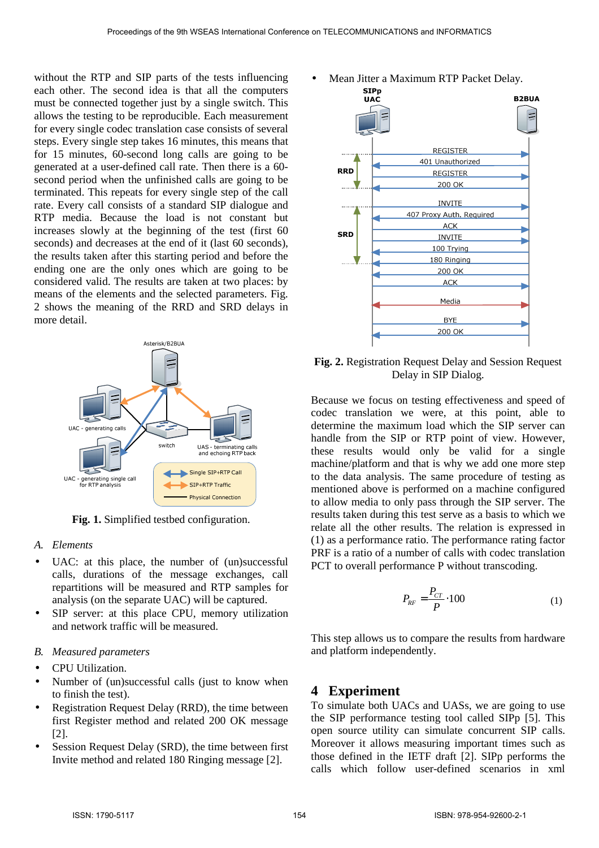without the RTP and SIP parts of the tests influencing each other. The second idea is that all the computers must be connected together just by a single switch. This allows the testing to be reproducible. Each measurement for every single codec translation case consists of several steps. Every single step takes 16 minutes, this means that for 15 minutes, 60-second long calls are going to be generated at a user-defined call rate. Then there is a 60 second period when the unfinished calls are going to be terminated. This repeats for every single step of the call rate. Every call consists of a standard SIP dialogue and RTP media. Because the load is not constant but increases slowly at the beginning of the test (first 60 seconds) and decreases at the end of it (last 60 seconds), the results taken after this starting period and before the ending one are the only ones which are going to be considered valid. The results are taken at two places: by means of the elements and the selected parameters. Fig. 2 shows the meaning of the RRD and SRD delays in more detail.



**Fig. 1.** Simplified testbed configuration.

#### *A. Elements*

- UAC: at this place, the number of (un)successful calls, durations of the message exchanges, call repartitions will be measured and RTP samples for analysis (on the separate UAC) will be captured.
- SIP server: at this place CPU, memory utilization and network traffic will be measured.

#### *B. Measured parameters*

- CPU Utilization.
- Number of (un)successful calls (just to know when to finish the test).
- Registration Request Delay (RRD), the time between first Register method and related 200 OK message [2].
- Session Request Delay (SRD), the time between first Invite method and related 180 Ringing message [2].





**Fig. 2.** Registration Request Delay and Session Request Delay in SIP Dialog.

Because we focus on testing effectiveness and speed of codec translation we were, at this point, able to determine the maximum load which the SIP server can handle from the SIP or RTP point of view. However, these results would only be valid for a single machine/platform and that is why we add one more step to the data analysis. The same procedure of testing as mentioned above is performed on a machine configured to allow media to only pass through the SIP server. The results taken during this test serve as a basis to which we relate all the other results. The relation is expressed in (1) as a performance ratio. The performance rating factor PRF is a ratio of a number of calls with codec translation PCT to overall performance P without transcoding.

$$
P_{RF} = \frac{P_{CT}}{P} \cdot 100\tag{1}
$$

This step allows us to compare the results from hardware and platform independently.

#### **4 Experiment**

To simulate both UACs and UASs, we are going to use the SIP performance testing tool called SIPp [5]. This open source utility can simulate concurrent SIP calls. Moreover it allows measuring important times such as those defined in the IETF draft [2]. SIPp performs the calls which follow user-defined scenarios in xml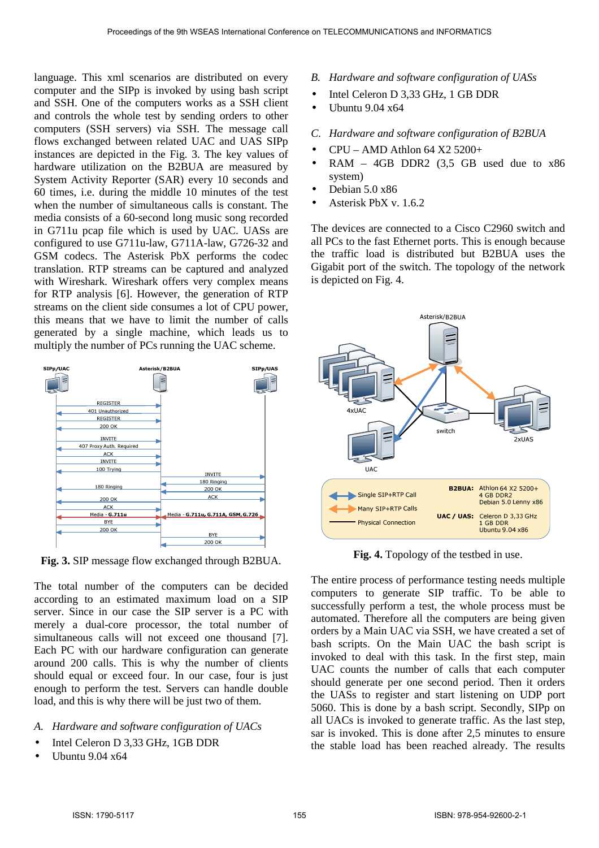language. This xml scenarios are distributed on every computer and the SIPp is invoked by using bash script and SSH. One of the computers works as a SSH client and controls the whole test by sending orders to other computers (SSH servers) via SSH. The message call flows exchanged between related UAC and UAS SIPp instances are depicted in the Fig. 3. The key values of hardware utilization on the B2BUA are measured by System Activity Reporter (SAR) every 10 seconds and 60 times, i.e. during the middle 10 minutes of the test when the number of simultaneous calls is constant. The media consists of a 60-second long music song recorded in G711u pcap file which is used by UAC. UASs are configured to use G711u-law, G711A-law, G726-32 and GSM codecs. The Asterisk PbX performs the codec translation. RTP streams can be captured and analyzed with Wireshark. Wireshark offers very complex means for RTP analysis [6]. However, the generation of RTP streams on the client side consumes a lot of CPU power, this means that we have to limit the number of calls generated by a single machine, which leads us to multiply the number of PCs running the UAC scheme.



**Fig. 3.** SIP message flow exchanged through B2BUA.

The total number of the computers can be decided according to an estimated maximum load on a SIP server. Since in our case the SIP server is a PC with merely a dual-core processor, the total number of simultaneous calls will not exceed one thousand [7]. Each PC with our hardware configuration can generate around 200 calls. This is why the number of clients should equal or exceed four. In our case, four is just enough to perform the test. Servers can handle double load, and this is why there will be just two of them.

- *A. Hardware and software configuration of UACs*
- Intel Celeron D 3,33 GHz, 1GB DDR
- Ubuntu 9.04 x64
- *B. Hardware and software configuration of UASs*
- Intel Celeron D 3,33 GHz, 1 GB DDR
- $\bullet$  Ubuntu 9.04  $x64$

## *C. Hardware and software configuration of B2BUA*

- $CPU AMD$  Athlon 64  $X2$  5200+
- $RAM 4GB DDR2 (3.5 GB used due to  $x86$$ system)
- Debian 5.0 x86
- Asterisk PbX v. 1.6.2

The devices are connected to a Cisco C2960 switch and all PCs to the fast Ethernet ports. This is enough because the traffic load is distributed but B2BUA uses the Gigabit port of the switch. The topology of the network is depicted on Fig. 4.



**Fig. 4.** Topology of the testbed in use.

The entire process of performance testing needs multiple computers to generate SIP traffic. To be able to successfully perform a test, the whole process must be automated. Therefore all the computers are being given orders by a Main UAC via SSH, we have created a set of bash scripts. On the Main UAC the bash script is invoked to deal with this task. In the first step, main UAC counts the number of calls that each computer should generate per one second period. Then it orders the UASs to register and start listening on UDP port 5060. This is done by a bash script. Secondly, SIPp on all UACs is invoked to generate traffic. As the last step, sar is invoked. This is done after 2,5 minutes to ensure the stable load has been reached already. The results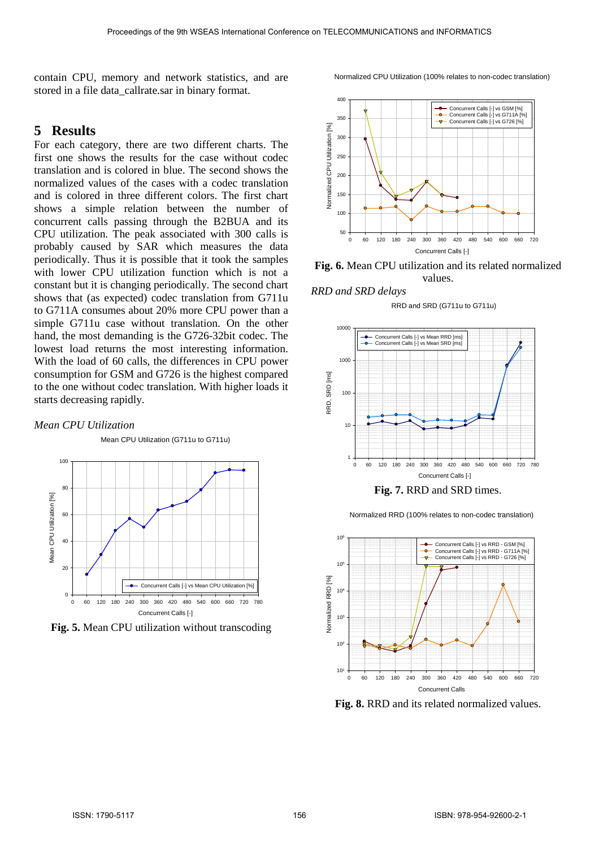contain CPU, memory and network statistics, and are stored in a file data\_callrate.sar in binary format.

## **5 Results**

For each category, there are two different charts. The first one shows the results for the case without codec translation and is colored in blue. The second shows the normalized values of the cases with a codec translation and is colored in three different colors. The first chart shows a simple relation between the number of concurrent calls passing through the B2BUA and its CPU utilization. The peak associated with 300 calls is probably caused by SAR which measures the data periodically. Thus it is possible that it took the samples with lower CPU utilization function which is not a constant but it is changing periodically. The second chart shows that (as expected) codec translation from G711u to G711A consumes about 20% more CPU power than a simple G711u case without translation. On the other hand, the most demanding is the G726-32bit codec. The lowest load returns the most interesting information. With the load of 60 calls, the differences in CPU power consumption for GSM and G726 is the highest compared to the one without codec translation. With higher loads it starts decreasing rapidly.

#### *Mean CPU Utilization*

 $100$ 80 Mean CPU Utilization [%] Mean CPU Utilization [%] 60 40 20 Concurrent Calls [-] vs Mean CPU Utilization [%]  $\Omega$ 0 60 120 180 240 300 360 420 480 540 600 660 720 780 Concurrent Calls [-]

Mean CPU Utilization (G711u to G711u)

**Fig. 5.** Mean CPU utilization without transcoding



Normalized CPU Utilization (100% relates to non-codec translation)

**Fig. 6.** Mean CPU utilization and its related normalized values.

*RRD and SRD delays* 





**Fig. 7.** RRD and SRD times.



Normalized RRD (100% relates to non-codec translation)

**Fig. 8.** RRD and its related normalized values.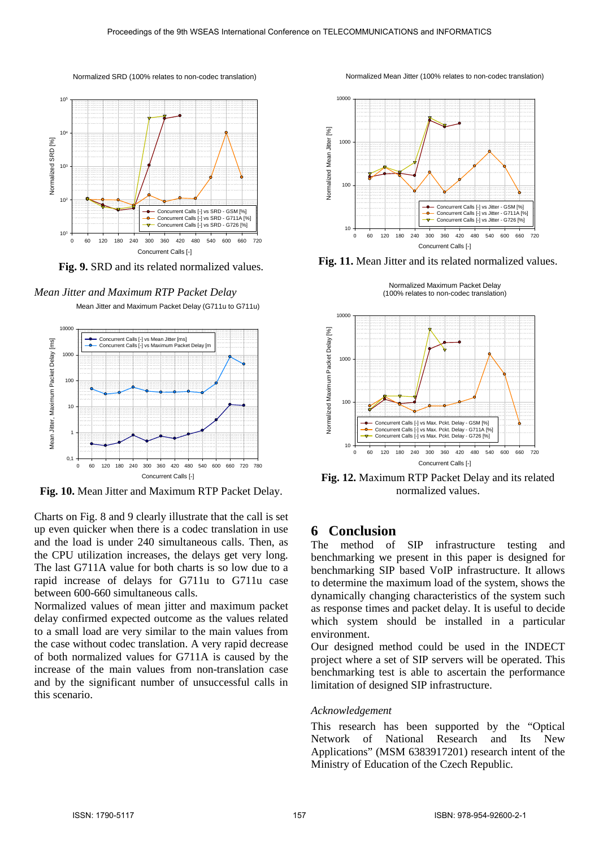Normalized SRD (100% relates to non-codec translation)



**Fig. 9.** SRD and its related normalized values.

*Mean Jitter and Maximum RTP Packet Delay* 

Mean Jitter and Maximum Packet Delay (G711u to G711u)



**Fig. 10.** Mean Jitter and Maximum RTP Packet Delay.

Charts on Fig. 8 and 9 clearly illustrate that the call is set up even quicker when there is a codec translation in use and the load is under 240 simultaneous calls. Then, as the CPU utilization increases, the delays get very long. The last G711A value for both charts is so low due to a rapid increase of delays for G711u to G711u case between 600-660 simultaneous calls.

Normalized values of mean jitter and maximum packet delay confirmed expected outcome as the values related to a small load are very similar to the main values from the case without codec translation. A very rapid decrease of both normalized values for G711A is caused by the increase of the main values from non-translation case and by the significant number of unsuccessful calls in this scenario.

Normalized Mean Jitter (100% relates to non-codec translation)



Fig. 11. Mean Jitter and its related normalized values.

Normalized Maximum Packet Delay (100% relates to non-codec translation)



**Fig. 12.** Maximum RTP Packet Delay and its related normalized values.

# **6 Conclusion**<br>The method of

SIP infrastructure testing and benchmarking we present in this paper is designed for benchmarking SIP based VoIP infrastructure. It allows to determine the maximum load of the system, shows the dynamically changing characteristics of the system such as response times and packet delay. It is useful to decide which system should be installed in a particular environment.

Our designed method could be used in the INDECT project where a set of SIP servers will be operated. This benchmarking test is able to ascertain the performance limitation of designed SIP infrastructure.

#### *Acknowledgement*

This research has been supported by the "Optical Network of National Research and Its New Applications" (MSM 6383917201) research intent of the Ministry of Education of the Czech Republic.